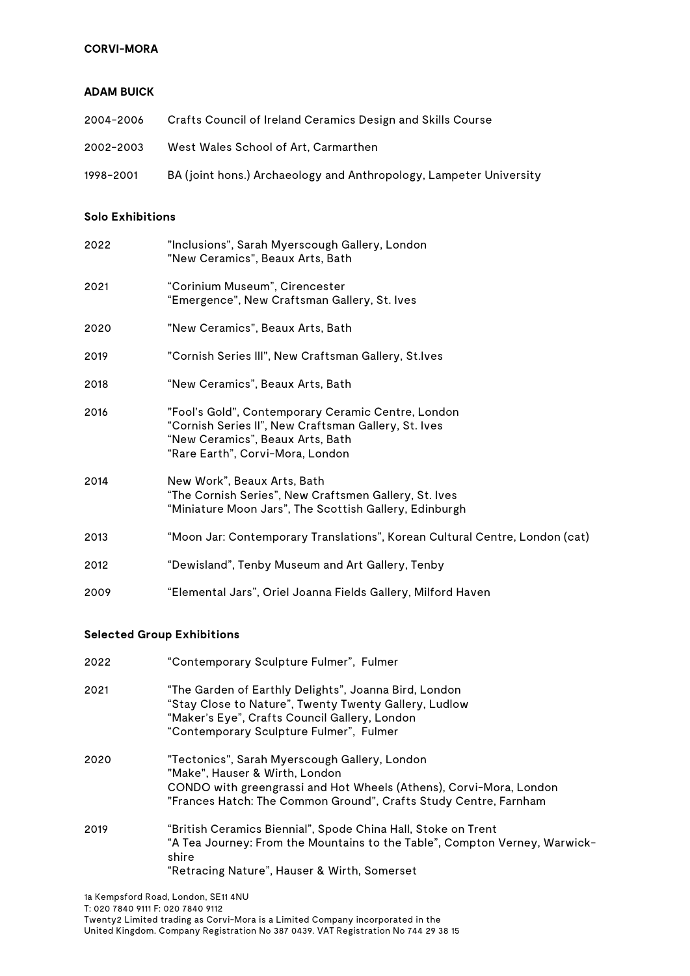## **CORVI-MORA**

#### **ADAM BUICK**

| 2004-2006 | Crafts Council of Ireland Ceramics Design and Skills Course        |
|-----------|--------------------------------------------------------------------|
| 2002-2003 | West Wales School of Art. Carmarthen                               |
| 1998-2001 | BA (joint hons.) Archaeology and Anthropology, Lampeter University |

# **Solo Exhibitions**

| 2022 | "Inclusions", Sarah Myerscough Gallery, London<br>"New Ceramics", Beaux Arts, Bath                                                                                                 |
|------|------------------------------------------------------------------------------------------------------------------------------------------------------------------------------------|
| 2021 | "Corinium Museum", Cirencester<br>"Emergence", New Craftsman Gallery, St. Ives                                                                                                     |
| 2020 | "New Ceramics", Beaux Arts, Bath                                                                                                                                                   |
| 2019 | "Cornish Series III", New Craftsman Gallery, St.Ives                                                                                                                               |
| 2018 | "New Ceramics", Beaux Arts, Bath                                                                                                                                                   |
| 2016 | "Fool's Gold", Contemporary Ceramic Centre, London<br>"Cornish Series II", New Craftsman Gallery, St. Ives<br>"New Ceramics", Beaux Arts, Bath<br>"Rare Earth", Corvi-Mora, London |
| 2014 | New Work", Beaux Arts, Bath<br>"The Cornish Series", New Craftsmen Gallery, St. Ives<br>"Miniature Moon Jars", The Scottish Gallery, Edinburgh                                     |
| 2013 | "Moon Jar: Contemporary Translations", Korean Cultural Centre, London (cat)                                                                                                        |
| 2012 | "Dewisland", Tenby Museum and Art Gallery, Tenby                                                                                                                                   |
| 2009 | "Elemental Jars", Oriel Joanna Fields Gallery, Milford Haven                                                                                                                       |

## **Selected Group Exhibitions**

| 2022 | "Contemporary Sculpture Fulmer", Fulmer                                                                                                                                                                                   |
|------|---------------------------------------------------------------------------------------------------------------------------------------------------------------------------------------------------------------------------|
| 2021 | "The Garden of Earthly Delights", Joanna Bird, London<br>"Stay Close to Nature", Twenty Twenty Gallery, Ludlow<br>"Maker's Eye", Crafts Council Gallery, London<br>"Contemporary Sculpture Fulmer", Fulmer                |
| 2020 | "Tectonics", Sarah Myerscough Gallery, London<br>"Make", Hauser & Wirth, London<br>CONDO with greengrassi and Hot Wheels (Athens), Corvi-Mora, London<br>"Frances Hatch: The Common Ground", Crafts Study Centre, Farnham |
| 2019 | "British Ceramics Biennial", Spode China Hall, Stoke on Trent<br>"A Tea Journey: From the Mountains to the Table", Compton Verney, Warwick-<br>shire<br>"Retracing Nature", Hauser & Wirth, Somerset                      |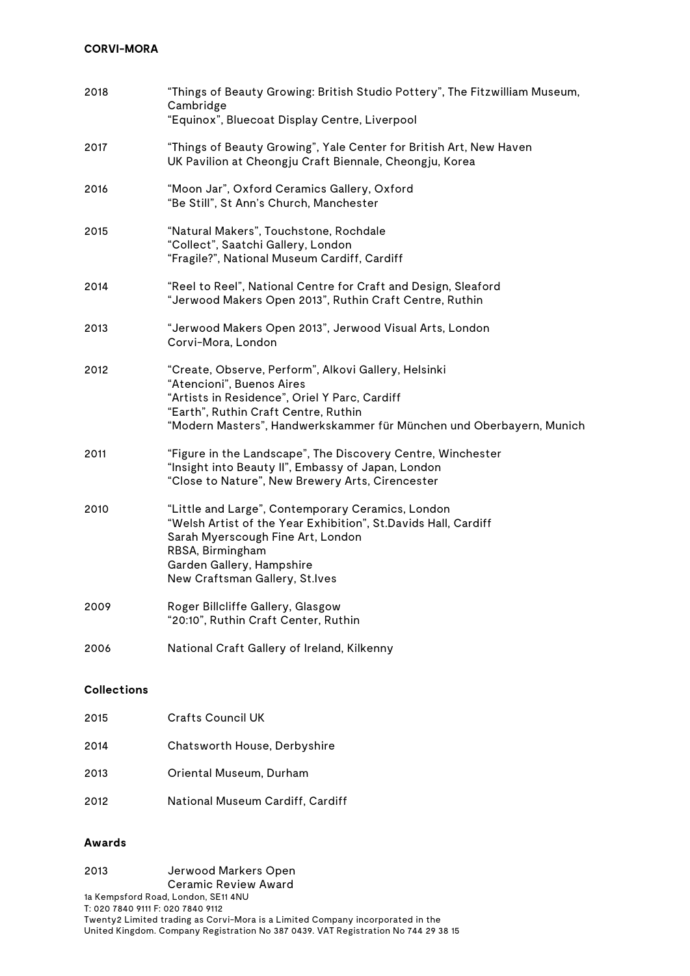# **CORVI-MORA**

| 2018               | "Things of Beauty Growing: British Studio Pottery", The Fitzwilliam Museum,<br>Cambridge<br>"Equinox", Bluecoat Display Centre, Liverpool                                                                                                          |
|--------------------|----------------------------------------------------------------------------------------------------------------------------------------------------------------------------------------------------------------------------------------------------|
| 2017               | "Things of Beauty Growing", Yale Center for British Art, New Haven<br>UK Pavilion at Cheongju Craft Biennale, Cheongju, Korea                                                                                                                      |
| 2016               | "Moon Jar", Oxford Ceramics Gallery, Oxford<br>"Be Still", St Ann's Church, Manchester                                                                                                                                                             |
| 2015               | "Natural Makers", Touchstone, Rochdale<br>"Collect", Saatchi Gallery, London<br>"Fragile?", National Museum Cardiff, Cardiff                                                                                                                       |
| 2014               | "Reel to Reel", National Centre for Craft and Design, Sleaford<br>"Jerwood Makers Open 2013", Ruthin Craft Centre, Ruthin                                                                                                                          |
| 2013               | "Jerwood Makers Open 2013", Jerwood Visual Arts, London<br>Corvi-Mora, London                                                                                                                                                                      |
| 2012               | "Create, Observe, Perform", Alkovi Gallery, Helsinki<br>"Atencioni", Buenos Aires<br>"Artists in Residence", Oriel Y Parc, Cardiff<br>"Earth", Ruthin Craft Centre, Ruthin<br>"Modern Masters", Handwerkskammer für München und Oberbayern, Munich |
| 2011               | "Figure in the Landscape", The Discovery Centre, Winchester<br>"Insight into Beauty II", Embassy of Japan, London<br>"Close to Nature", New Brewery Arts, Cirencester                                                                              |
| 2010               | "Little and Large", Contemporary Ceramics, London<br>"Welsh Artist of the Year Exhibition", St.Davids Hall, Cardiff<br>Sarah Myerscough Fine Art, London<br>RBSA, Birmingham<br>Garden Gallery, Hampshire<br>New Craftsman Gallery, St.Ives        |
| 2009               | Roger Billcliffe Gallery, Glasgow<br>"20:10", Ruthin Craft Center, Ruthin                                                                                                                                                                          |
| 2006               | National Craft Gallery of Ireland, Kilkenny                                                                                                                                                                                                        |
| <b>Collections</b> |                                                                                                                                                                                                                                                    |

| 2014 | Chatsworth House, Derbyshire     |
|------|----------------------------------|
| 2013 | Oriental Museum, Durham          |
| 2012 | National Museum Cardiff, Cardiff |

#### **Awards**

2013 Jerwood Markers Open Ceramic Review Award

2015 Crafts Council UK

1a Kempsford Road, London, SE11 4NU T: 020 7840 9111 F: 020 7840 9112 Twenty2 Limited trading as Corvi-Mora is a Limited Company incorporated in the United Kingdom. Company Registration No 387 0439. VAT Registration No 744 29 38 15